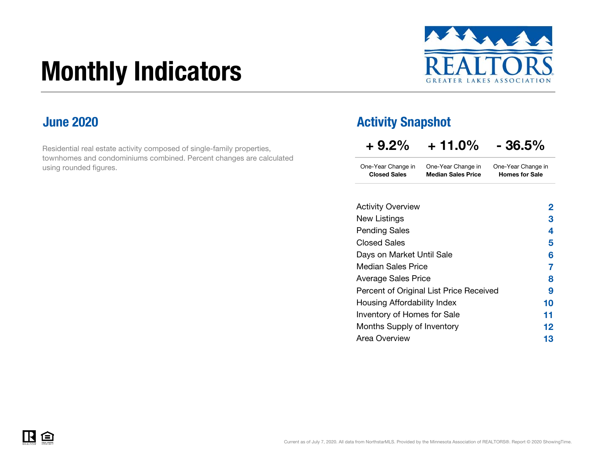# Monthly Indicators



#### June 2020

Residential real estate activity composed of single-family properties, townhomes and condominiums combined. Percent changes are calculated using rounded figures.

#### Activity Snapshot

| $+9.2\%$            | $+11.0\%$                 | $-36.5%$              |
|---------------------|---------------------------|-----------------------|
| One-Year Change in  | One-Year Change in        | One-Year Change in    |
| <b>Closed Sales</b> | <b>Median Sales Price</b> | <b>Homes for Sale</b> |

| <b>Activity Overview</b>                | 2  |
|-----------------------------------------|----|
| New Listings                            | 3  |
| <b>Pending Sales</b>                    | 4  |
| <b>Closed Sales</b>                     | 5  |
| Days on Market Until Sale               | 6  |
| <b>Median Sales Price</b>               | 7  |
| <b>Average Sales Price</b>              | 8  |
| Percent of Original List Price Received | 9  |
| Housing Affordability Index             | 10 |
| Inventory of Homes for Sale             | 11 |
| Months Supply of Inventory              | 12 |
| Area Overview                           | 13 |
|                                         |    |

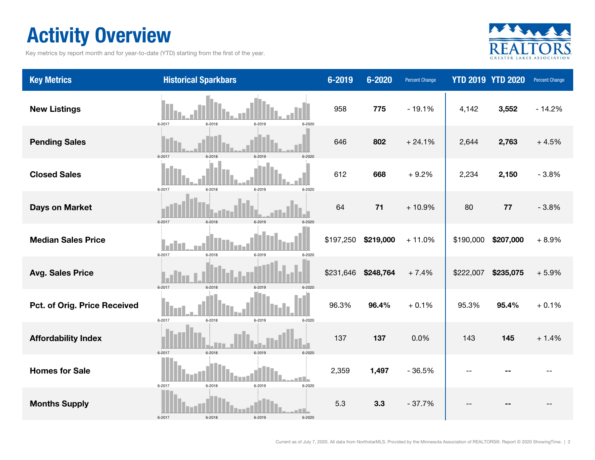## Activity Overview

Key metrics by report month and for year-to-date (YTD) starting from the first of the year.



| <b>Key Metrics</b>           | <b>Historical Sparkbars</b>                   | 6-2019    | 6-2020    | <b>Percent Change</b> |           | <b>YTD 2019 YTD 2020</b> | <b>Percent Change</b> |
|------------------------------|-----------------------------------------------|-----------|-----------|-----------------------|-----------|--------------------------|-----------------------|
| <b>New Listings</b>          | 6-2017<br>6-2018<br>6-2019<br>6-2020          | 958       | 775       | $-19.1%$              | 4,142     | 3,552                    | $-14.2%$              |
| <b>Pending Sales</b>         | 6-2017<br>6-2018<br>6-2019                    | 646       | 802       | $+24.1%$              | 2,644     | 2,763                    | $+4.5%$               |
| <b>Closed Sales</b>          | 6-2017<br>6-2018<br>6-2019<br>6-2020          | 612       | 668       | $+9.2%$               | 2,234     | 2,150                    | $-3.8%$               |
| <b>Days on Market</b>        | 6-2017<br>6-2018<br>6-2019                    | 64        | $71$      | $+10.9%$              | 80        | 77                       | $-3.8%$               |
| <b>Median Sales Price</b>    | l a l<br>6-2017<br>6-2018<br>6-2019<br>6-2020 | \$197,250 | \$219,000 | $+11.0%$              | \$190,000 | \$207,000                | $+8.9%$               |
| <b>Avg. Sales Price</b>      | 6-2017<br>$6 - 2018$<br>6-2019<br>6-2020      | \$231,646 | \$248,764 | $+7.4%$               | \$222,007 | \$235,075                | $+5.9%$               |
| Pct. of Orig. Price Received | 6-2017<br>$6 - 2018$<br>6-2019<br>6-2020      | 96.3%     | 96.4%     | $+0.1%$               | 95.3%     | 95.4%                    | $+0.1%$               |
| <b>Affordability Index</b>   | 6-2018<br>6-2017<br>6-2019<br>$6 - 2020$      | 137       | 137       | 0.0%                  | 143       | 145                      | $+1.4%$               |
| <b>Homes for Sale</b>        | 6-2017<br>$6 - 2018$<br>6-2019<br>6-2020      | 2,359     | 1,497     | $-36.5%$              |           |                          |                       |
| <b>Months Supply</b>         | $6 - 2018$<br>6-2017<br>6-2019<br>6-2020      | 5.3       | 3.3       | $-37.7%$              |           |                          |                       |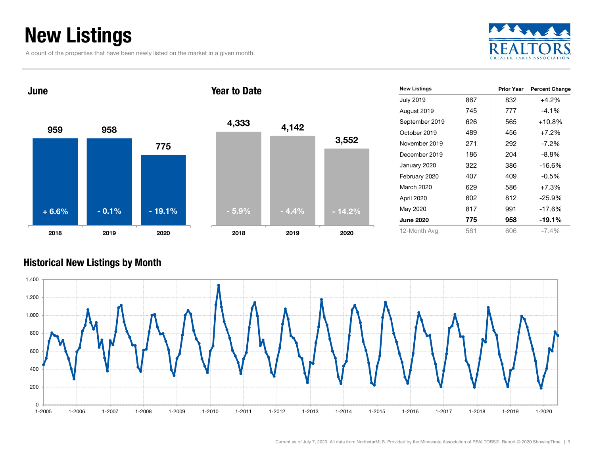## New Listings

A count of the properties that have been newly listed on the market in a given month.





| <b>New Listings</b> |     | <b>Prior Year</b> | <b>Percent Change</b> |
|---------------------|-----|-------------------|-----------------------|
| <b>July 2019</b>    | 867 | 832               | $+4.2%$               |
| August 2019         | 745 | 777               | $-4.1\%$              |
| September 2019      | 626 | 565               | $+10.8%$              |
| October 2019        | 489 | 456               | $+7.2\%$              |
| November 2019       | 271 | 292               | $-7.2\%$              |
| December 2019       | 186 | 204               | -8.8%                 |
| January 2020        | 322 | 386               | $-16.6%$              |
| February 2020       | 407 | 409               | $-0.5\%$              |
| March 2020          | 629 | 586               | $+7.3%$               |
| April 2020          | 602 | 812               | $-25.9%$              |
| May 2020            | 817 | 991               | $-17.6%$              |
| <b>June 2020</b>    | 775 | 958               | $-19.1%$              |
| 12-Month Avg        | 561 | 606               | $-7.4\%$              |

#### Historical New Listings by Month

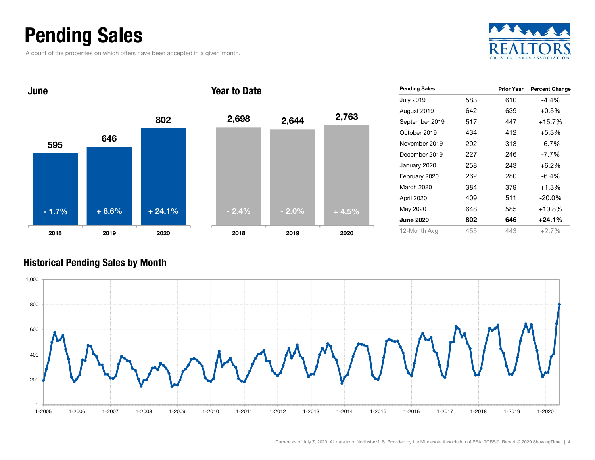## Pending Sales

A count of the properties on which offers have been accepted in a given month.





#### Historical Pending Sales by Month

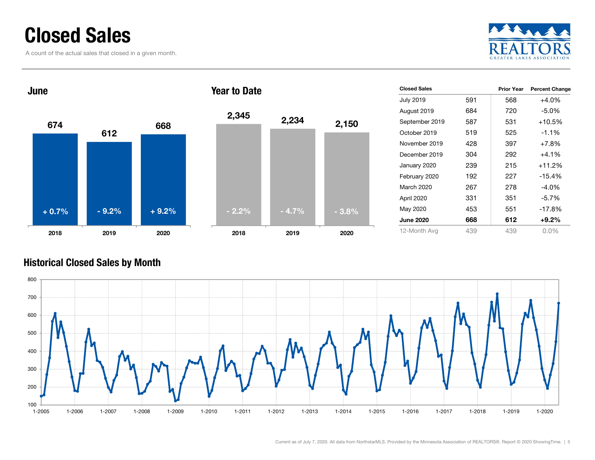### Closed Sales

A count of the actual sales that closed in a given month.





| <b>Closed Sales</b> |     | <b>Prior Year</b> | <b>Percent Change</b> |
|---------------------|-----|-------------------|-----------------------|
| <b>July 2019</b>    | 591 | 568               | $+4.0%$               |
| August 2019         | 684 | 720               | -5.0%                 |
| September 2019      | 587 | 531               | $+10.5%$              |
| October 2019        | 519 | 525               | $-1.1%$               |
| November 2019       | 428 | 397               | $+7.8%$               |
| December 2019       | 304 | 292               | $+4.1%$               |
| January 2020        | 239 | 215               | +11.2%                |
| February 2020       | 192 | 227               | $-15.4%$              |
| March 2020          | 267 | 278               | $-4.0\%$              |
| April 2020          | 331 | 351               | $-5.7\%$              |
| May 2020            | 453 | 551               | $-17.8%$              |
| <b>June 2020</b>    | 668 | 612               | $+9.2%$               |
| 12-Month Avg        | 439 | 439               | $0.0\%$               |

#### Historical Closed Sales by Month

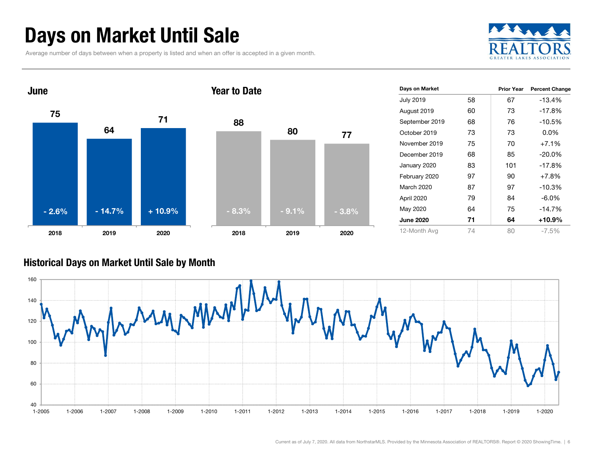## Days on Market Until Sale

Average number of days between when a property is listed and when an offer is accepted in a given month.





| Days on Market   |    | <b>Prior Year</b> | <b>Percent Change</b> |
|------------------|----|-------------------|-----------------------|
| <b>July 2019</b> | 58 | 67                | $-13.4%$              |
| August 2019      | 60 | 73                | $-17.8%$              |
| September 2019   | 68 | 76                | $-10.5%$              |
| October 2019     | 73 | 73                | $0.0\%$               |
| November 2019    | 75 | 70                | $+7.1%$               |
| December 2019    | 68 | 85                | $-20.0\%$             |
| January 2020     | 83 | 101               | $-17.8%$              |
| February 2020    | 97 | 90                | $+7.8%$               |
| March 2020       | 87 | 97                | $-10.3%$              |
| April 2020       | 79 | 84                | $-6.0\%$              |
| May 2020         | 64 | 75                | $-14.7%$              |
| <b>June 2020</b> | 71 | 64                | +10.9%                |
| 12-Month Avg     | 74 | 80                | -7.5%                 |

#### Historical Days on Market Until Sale by Month

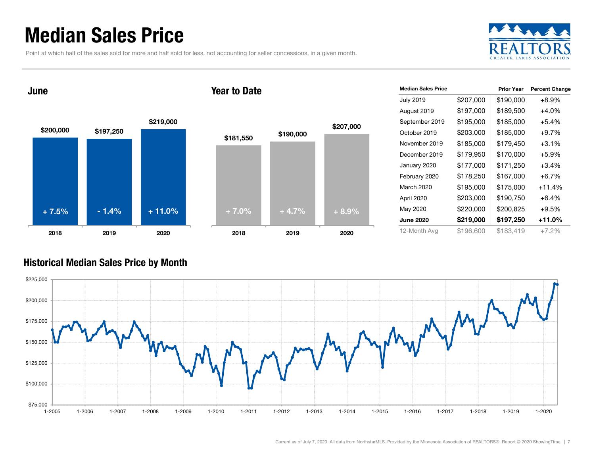## Median Sales Price

Point at which half of the sales sold for more and half sold for less, not accounting for seller concessions, in a given month.



June

#### Year to Date



| <b>Median Sales Price</b> |           | <b>Prior Year</b> | <b>Percent Change</b> |
|---------------------------|-----------|-------------------|-----------------------|
| <b>July 2019</b>          | \$207,000 | \$190,000         | $+8.9%$               |
| August 2019               | \$197,000 | \$189,500         | $+4.0%$               |
| September 2019            | \$195,000 | \$185,000         | $+5.4%$               |
| October 2019              | \$203,000 | \$185,000         | $+9.7%$               |
| November 2019             | \$185,000 | \$179,450         | $+3.1%$               |
| December 2019             | \$179,950 | \$170,000         | $+5.9%$               |
| January 2020              | \$177,000 | \$171,250         | $+3.4%$               |
| February 2020             | \$178,250 | \$167,000         | $+6.7%$               |
| March 2020                | \$195,000 | \$175,000         | $+11.4%$              |
| April 2020                | \$203,000 | \$190,750         | $+6.4%$               |
| May 2020                  | \$220,000 | \$200,825         | $+9.5%$               |
| <b>June 2020</b>          | \$219,000 | \$197,250         | $+11.0%$              |
| 12-Month Avg              | \$196,600 | \$183,419         | $+7.2%$               |

#### Historical Median Sales Price by Month

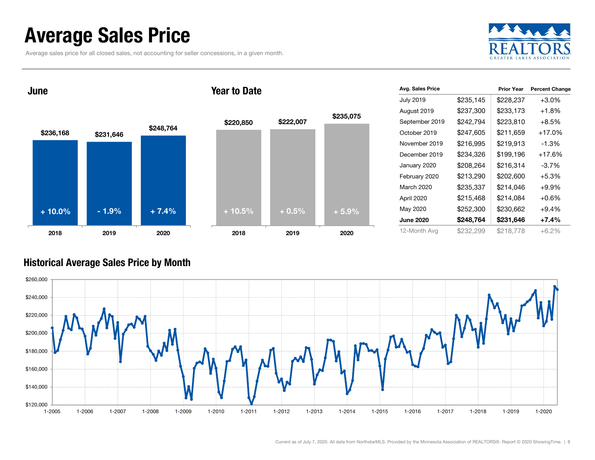## Average Sales Price

Average sales price for all closed sales, not accounting for seller concessions, in a given month.

![](_page_7_Picture_2.jpeg)

![](_page_7_Figure_3.jpeg)

| Avg. Sales Price |           | <b>Prior Year</b> | <b>Percent Change</b> |
|------------------|-----------|-------------------|-----------------------|
| <b>July 2019</b> | \$235,145 | \$228,237         | $+3.0%$               |
| August 2019      | \$237,300 | \$233,173         | $+1.8%$               |
| September 2019   | \$242,794 | \$223,810         | $+8.5%$               |
| October 2019     | \$247,605 | \$211,659         | $+17.0%$              |
| November 2019    | \$216,995 | \$219,913         | $-1.3\%$              |
| December 2019    | \$234,326 | \$199,196         | $+17.6%$              |
| January 2020     | \$208,264 | \$216,314         | $-3.7%$               |
| February 2020    | \$213,290 | \$202,600         | $+5.3%$               |
| March 2020       | \$235,337 | \$214,046         | $+9.9\%$              |
| April 2020       | \$215,468 | \$214,084         | $+0.6%$               |
| May 2020         | \$252,300 | \$230,662         | $+9.4%$               |
| <b>June 2020</b> | \$248,764 | \$231,646         | $+7.4%$               |
| 12-Month Avg     | \$232,299 | \$218,778         | $+6.2\%$              |
|                  |           |                   |                       |

#### Historical Average Sales Price by Month

![](_page_7_Figure_6.jpeg)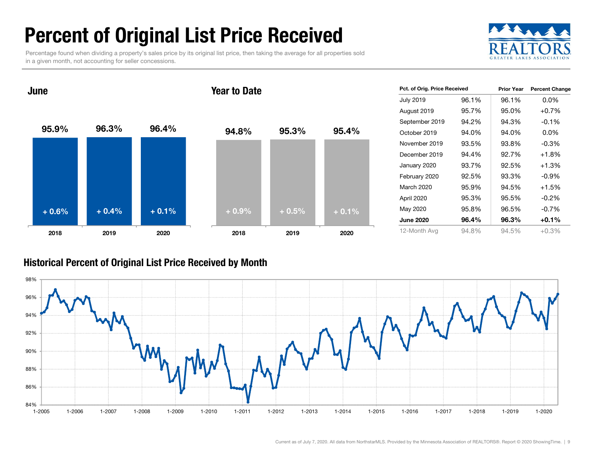## Percent of Original List Price Received

Percentage found when dividing a property's sales price by its original list price, then taking the average for all properties sold in a given month, not accounting for seller concessions.

![](_page_8_Picture_2.jpeg)

95.9% 96.3% 96.4% 2018 2019 2020 June94.8% 95.3% 95.4% 2018 2019 2020 Year to Date+ 0.6% $\%$  + 0.4% + 0.1% + 0.9% + 0.5% + 0.1%

| Pct. of Orig. Price Received |          | <b>Prior Year</b> | <b>Percent Change</b> |
|------------------------------|----------|-------------------|-----------------------|
| <b>July 2019</b>             | 96.1%    | 96.1%             | $0.0\%$               |
| August 2019                  | 95.7%    | 95.0%             | $+0.7%$               |
| September 2019               | 94.2%    | 94.3%             | $-0.1%$               |
| October 2019                 | 94.0%    | 94.0%             | $0.0\%$               |
| November 2019                | 93.5%    | 93.8%             | $-0.3\%$              |
| December 2019                | 94.4%    | 92.7%             | $+1.8%$               |
| January 2020                 | 93.7%    | 92.5%             | $+1.3%$               |
| February 2020                | 92.5%    | 93.3%             | $-0.9\%$              |
| March 2020                   | 95.9%    | 94.5%             | $+1.5%$               |
| April 2020                   | 95.3%    | 95.5%             | $-0.2\%$              |
| May 2020                     | 95.8%    | 96.5%             | $-0.7\%$              |
| <b>June 2020</b>             | $96.4\%$ | 96.3%             | $+0.1\%$              |
| 12-Month Avg                 | 94.8%    | 94.5%             | +0.3%                 |

#### Historical Percent of Original List Price Received by Month

![](_page_8_Figure_6.jpeg)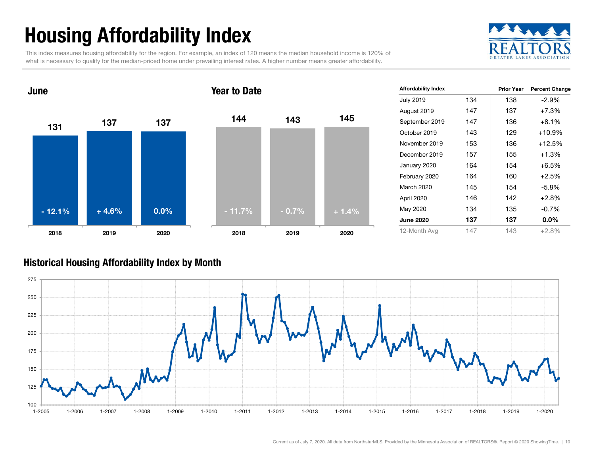## Housing Affordability Index

This index measures housing affordability for the region. For example, an index of 120 means the median household income is 120% of what is necessary to qualify for the median-priced home under prevailing interest rates. A higher number means greater affordability.

![](_page_9_Picture_2.jpeg)

![](_page_9_Figure_3.jpeg)

| <b>Affordability Index</b> |     | <b>Prior Year</b> | <b>Percent Change</b> |
|----------------------------|-----|-------------------|-----------------------|
| <b>July 2019</b>           | 134 | 138               | $-2.9%$               |
| August 2019                | 147 | 137               | $+7.3%$               |
| September 2019             | 147 | 136               | $+8.1%$               |
| October 2019               | 143 | 129               | +10.9%                |
| November 2019              | 153 | 136               | $+12.5%$              |
| December 2019              | 157 | 155               | $+1.3%$               |
| January 2020               | 164 | 154               | $+6.5%$               |
| February 2020              | 164 | 160               | $+2.5%$               |
| March 2020                 | 145 | 154               | $-5.8%$               |
| April 2020                 | 146 | 142               | $+2.8%$               |
| May 2020                   | 134 | 135               | $-0.7%$               |
| <b>June 2020</b>           | 137 | 137               | $0.0\%$               |
| 12-Month Avg               | 147 | 143               | $+2.8%$               |

#### Historical Housing Affordability Index by Mont h

![](_page_9_Figure_6.jpeg)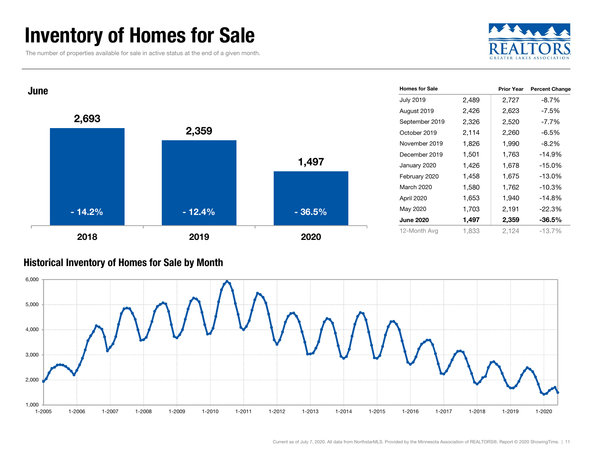## Inventory of Homes for Sale

The number of properties available for sale in active status at the end of a given month.

![](_page_10_Picture_2.jpeg)

![](_page_10_Figure_3.jpeg)

#### Historical Inventory of Homes for Sale by Month

![](_page_10_Figure_5.jpeg)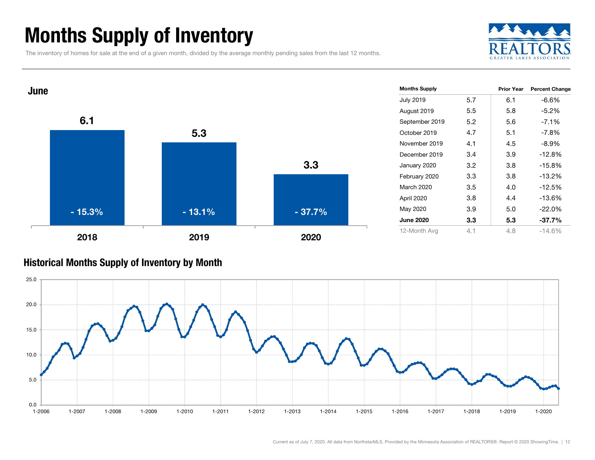## Months Supply of Inventory

The inventory of homes for sale at the end of a given month, divided by the average monthly pending sales from the last 12 months.

![](_page_11_Picture_2.jpeg)

![](_page_11_Figure_3.jpeg)

#### Historical Months Supply of Inventory by Month

![](_page_11_Figure_5.jpeg)